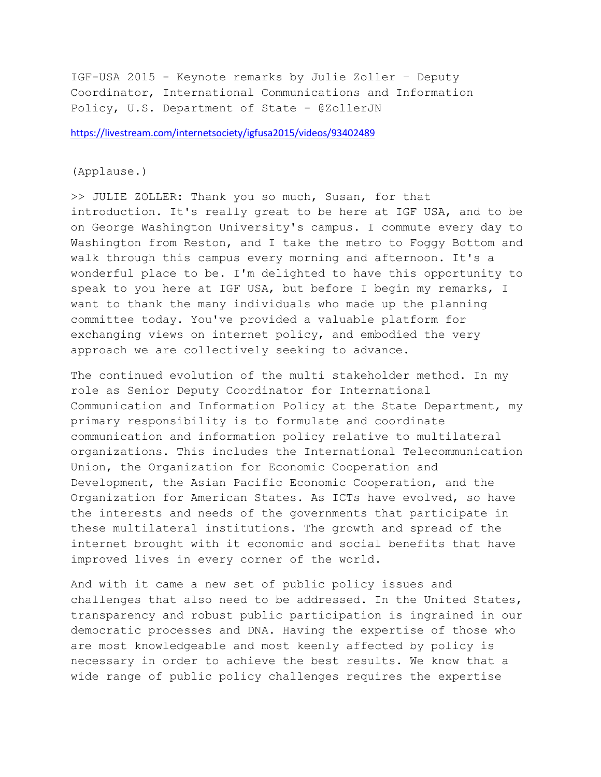IGF-USA 2015 - Keynote remarks by Julie Zoller – Deputy Coordinator, International Communications and Information Policy, U.S. Department of State - @ZollerJN

<https://livestream.com/internetsociety/igfusa2015/videos/93402489>

## (Applause.)

>> JULIE ZOLLER: Thank you so much, Susan, for that introduction. It's really great to be here at IGF USA, and to be on George Washington University's campus. I commute every day to Washington from Reston, and I take the metro to Foggy Bottom and walk through this campus every morning and afternoon. It's a wonderful place to be. I'm delighted to have this opportunity to speak to you here at IGF USA, but before I begin my remarks, I want to thank the many individuals who made up the planning committee today. You've provided a valuable platform for exchanging views on internet policy, and embodied the very approach we are collectively seeking to advance.

The continued evolution of the multi stakeholder method. In my role as Senior Deputy Coordinator for International Communication and Information Policy at the State Department, my primary responsibility is to formulate and coordinate communication and information policy relative to multilateral organizations. This includes the International Telecommunication Union, the Organization for Economic Cooperation and Development, the Asian Pacific Economic Cooperation, and the Organization for American States. As ICTs have evolved, so have the interests and needs of the governments that participate in these multilateral institutions. The growth and spread of the internet brought with it economic and social benefits that have improved lives in every corner of the world.

And with it came a new set of public policy issues and challenges that also need to be addressed. In the United States, transparency and robust public participation is ingrained in our democratic processes and DNA. Having the expertise of those who are most knowledgeable and most keenly affected by policy is necessary in order to achieve the best results. We know that a wide range of public policy challenges requires the expertise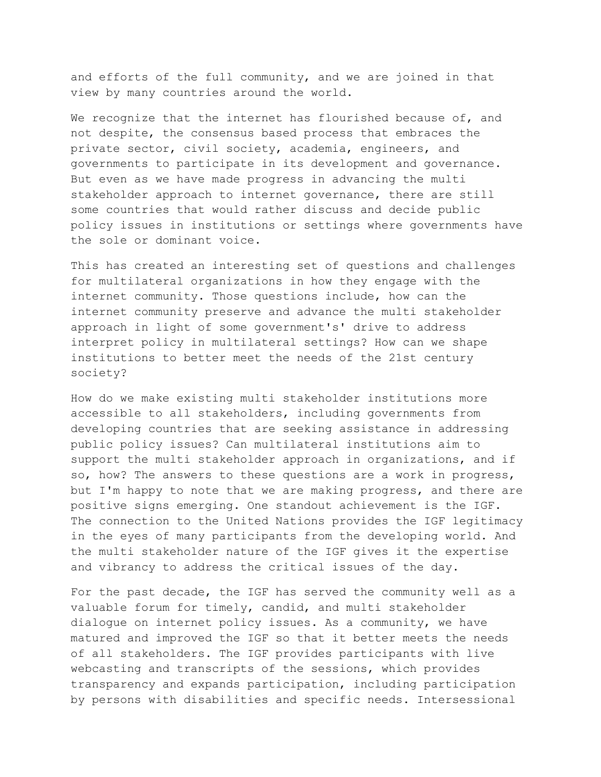and efforts of the full community, and we are joined in that view by many countries around the world.

We recognize that the internet has flourished because of, and not despite, the consensus based process that embraces the private sector, civil society, academia, engineers, and governments to participate in its development and governance. But even as we have made progress in advancing the multi stakeholder approach to internet governance, there are still some countries that would rather discuss and decide public policy issues in institutions or settings where governments have the sole or dominant voice.

This has created an interesting set of questions and challenges for multilateral organizations in how they engage with the internet community. Those questions include, how can the internet community preserve and advance the multi stakeholder approach in light of some government's' drive to address interpret policy in multilateral settings? How can we shape institutions to better meet the needs of the 21st century society?

How do we make existing multi stakeholder institutions more accessible to all stakeholders, including governments from developing countries that are seeking assistance in addressing public policy issues? Can multilateral institutions aim to support the multi stakeholder approach in organizations, and if so, how? The answers to these questions are a work in progress, but I'm happy to note that we are making progress, and there are positive signs emerging. One standout achievement is the IGF. The connection to the United Nations provides the IGF legitimacy in the eyes of many participants from the developing world. And the multi stakeholder nature of the IGF gives it the expertise and vibrancy to address the critical issues of the day.

For the past decade, the IGF has served the community well as a valuable forum for timely, candid, and multi stakeholder dialogue on internet policy issues. As a community, we have matured and improved the IGF so that it better meets the needs of all stakeholders. The IGF provides participants with live webcasting and transcripts of the sessions, which provides transparency and expands participation, including participation by persons with disabilities and specific needs. Intersessional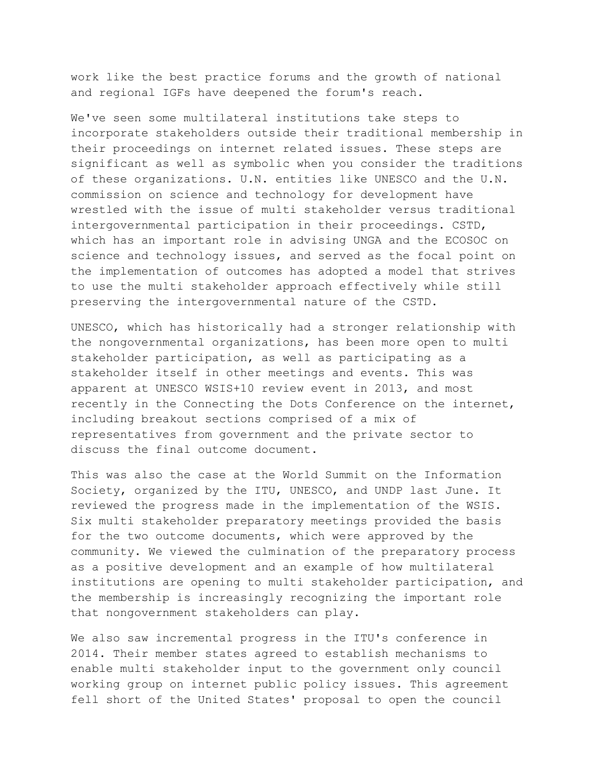work like the best practice forums and the growth of national and regional IGFs have deepened the forum's reach.

We've seen some multilateral institutions take steps to incorporate stakeholders outside their traditional membership in their proceedings on internet related issues. These steps are significant as well as symbolic when you consider the traditions of these organizations. U.N. entities like UNESCO and the U.N. commission on science and technology for development have wrestled with the issue of multi stakeholder versus traditional intergovernmental participation in their proceedings. CSTD, which has an important role in advising UNGA and the ECOSOC on science and technology issues, and served as the focal point on the implementation of outcomes has adopted a model that strives to use the multi stakeholder approach effectively while still preserving the intergovernmental nature of the CSTD.

UNESCO, which has historically had a stronger relationship with the nongovernmental organizations, has been more open to multi stakeholder participation, as well as participating as a stakeholder itself in other meetings and events. This was apparent at UNESCO WSIS+10 review event in 2013, and most recently in the Connecting the Dots Conference on the internet, including breakout sections comprised of a mix of representatives from government and the private sector to discuss the final outcome document.

This was also the case at the World Summit on the Information Society, organized by the ITU, UNESCO, and UNDP last June. It reviewed the progress made in the implementation of the WSIS. Six multi stakeholder preparatory meetings provided the basis for the two outcome documents, which were approved by the community. We viewed the culmination of the preparatory process as a positive development and an example of how multilateral institutions are opening to multi stakeholder participation, and the membership is increasingly recognizing the important role that nongovernment stakeholders can play.

We also saw incremental progress in the ITU's conference in 2014. Their member states agreed to establish mechanisms to enable multi stakeholder input to the government only council working group on internet public policy issues. This agreement fell short of the United States' proposal to open the council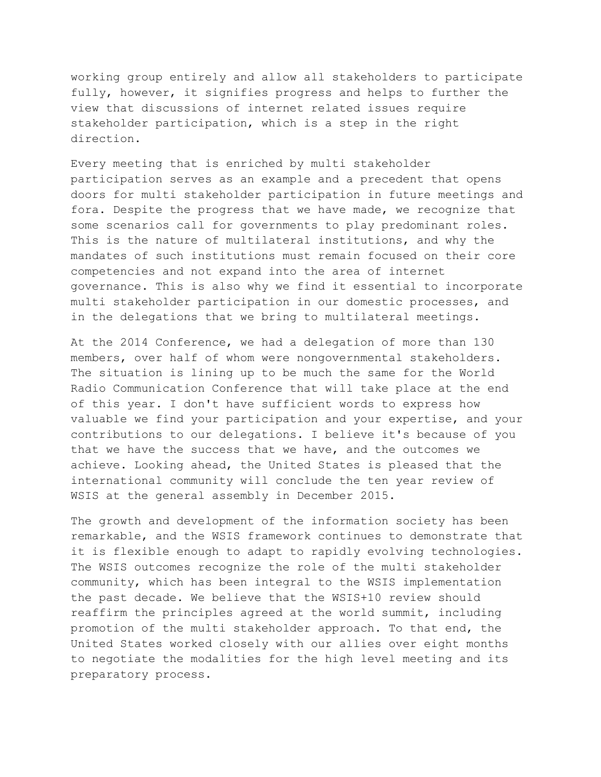working group entirely and allow all stakeholders to participate fully, however, it signifies progress and helps to further the view that discussions of internet related issues require stakeholder participation, which is a step in the right direction.

Every meeting that is enriched by multi stakeholder participation serves as an example and a precedent that opens doors for multi stakeholder participation in future meetings and fora. Despite the progress that we have made, we recognize that some scenarios call for governments to play predominant roles. This is the nature of multilateral institutions, and why the mandates of such institutions must remain focused on their core competencies and not expand into the area of internet governance. This is also why we find it essential to incorporate multi stakeholder participation in our domestic processes, and in the delegations that we bring to multilateral meetings.

At the 2014 Conference, we had a delegation of more than 130 members, over half of whom were nongovernmental stakeholders. The situation is lining up to be much the same for the World Radio Communication Conference that will take place at the end of this year. I don't have sufficient words to express how valuable we find your participation and your expertise, and your contributions to our delegations. I believe it's because of you that we have the success that we have, and the outcomes we achieve. Looking ahead, the United States is pleased that the international community will conclude the ten year review of WSIS at the general assembly in December 2015.

The growth and development of the information society has been remarkable, and the WSIS framework continues to demonstrate that it is flexible enough to adapt to rapidly evolving technologies. The WSIS outcomes recognize the role of the multi stakeholder community, which has been integral to the WSIS implementation the past decade. We believe that the WSIS+10 review should reaffirm the principles agreed at the world summit, including promotion of the multi stakeholder approach. To that end, the United States worked closely with our allies over eight months to negotiate the modalities for the high level meeting and its preparatory process.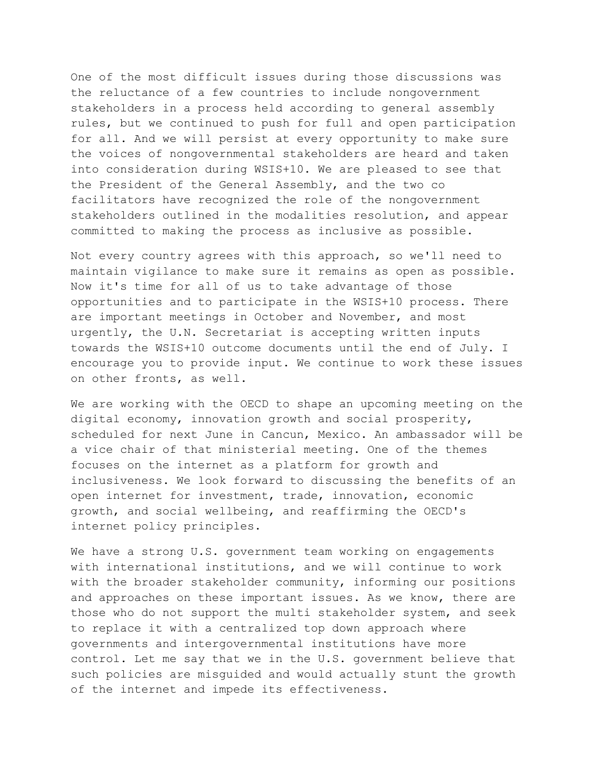One of the most difficult issues during those discussions was the reluctance of a few countries to include nongovernment stakeholders in a process held according to general assembly rules, but we continued to push for full and open participation for all. And we will persist at every opportunity to make sure the voices of nongovernmental stakeholders are heard and taken into consideration during WSIS+10. We are pleased to see that the President of the General Assembly, and the two co facilitators have recognized the role of the nongovernment stakeholders outlined in the modalities resolution, and appear committed to making the process as inclusive as possible.

Not every country agrees with this approach, so we'll need to maintain vigilance to make sure it remains as open as possible. Now it's time for all of us to take advantage of those opportunities and to participate in the WSIS+10 process. There are important meetings in October and November, and most urgently, the U.N. Secretariat is accepting written inputs towards the WSIS+10 outcome documents until the end of July. I encourage you to provide input. We continue to work these issues on other fronts, as well.

We are working with the OECD to shape an upcoming meeting on the digital economy, innovation growth and social prosperity, scheduled for next June in Cancun, Mexico. An ambassador will be a vice chair of that ministerial meeting. One of the themes focuses on the internet as a platform for growth and inclusiveness. We look forward to discussing the benefits of an open internet for investment, trade, innovation, economic growth, and social wellbeing, and reaffirming the OECD's internet policy principles.

We have a strong U.S. government team working on engagements with international institutions, and we will continue to work with the broader stakeholder community, informing our positions and approaches on these important issues. As we know, there are those who do not support the multi stakeholder system, and seek to replace it with a centralized top down approach where governments and intergovernmental institutions have more control. Let me say that we in the U.S. government believe that such policies are misguided and would actually stunt the growth of the internet and impede its effectiveness.